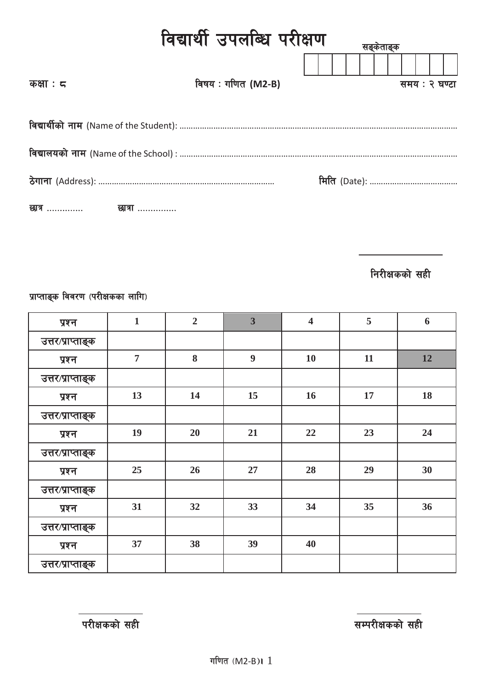| विद्यार्थी उपलब्धि परीक्षण<br>सङकताङक |                    |  |  |               |  |  |  |  |  |  |  |
|---------------------------------------|--------------------|--|--|---------------|--|--|--|--|--|--|--|
| कक्षा : $\epsilon$                    | विषय : गणित (M2-B) |  |  | समय : २ घण्टा |  |  |  |  |  |  |  |
|                                       |                    |  |  |               |  |  |  |  |  |  |  |
|                                       |                    |  |  |               |  |  |  |  |  |  |  |
|                                       |                    |  |  |               |  |  |  |  |  |  |  |
| छात्र                 छात्रा          |                    |  |  |               |  |  |  |  |  |  |  |

**निरीक्षकको सही** 

प्राप्ताङ्क विवरण (परीक्षकका लागि)

| प्रश्न            | $\mathbf{1}$   | $\overline{2}$ | $\overline{\mathbf{3}}$ | $\overline{\mathbf{4}}$ | 5  | 6         |
|-------------------|----------------|----------------|-------------------------|-------------------------|----|-----------|
| उत्तर/प्राप्ताङ्क |                |                |                         |                         |    |           |
| प्रश्न            | $\overline{7}$ | 8              | $\boldsymbol{9}$        | 10                      | 11 | <b>12</b> |
| उत्तर/प्राप्ताङ्क |                |                |                         |                         |    |           |
| प्रश्न            | 13             | 14             | 15                      | 16                      | 17 | 18        |
| उत्तर/प्राप्ताङ्क |                |                |                         |                         |    |           |
| प्रश्न            | 19             | 20             | 21                      | 22                      | 23 | 24        |
| उत्तर/प्राप्ताङ्क |                |                |                         |                         |    |           |
| प्रश्न            | 25             | 26             | 27                      | 28                      | 29 | 30        |
| उत्तर/प्राप्ताङ्क |                |                |                         |                         |    |           |
| प्रश्न            | 31             | 32             | 33                      | 34                      | 35 | 36        |
| उत्तर/प्राप्ताङ्क |                |                |                         |                         |    |           |
| प्रश्न            | 37             | 38             | 39                      | 40                      |    |           |
| उत्तर/प्राप्ताङ्क |                |                |                         |                         |    |           |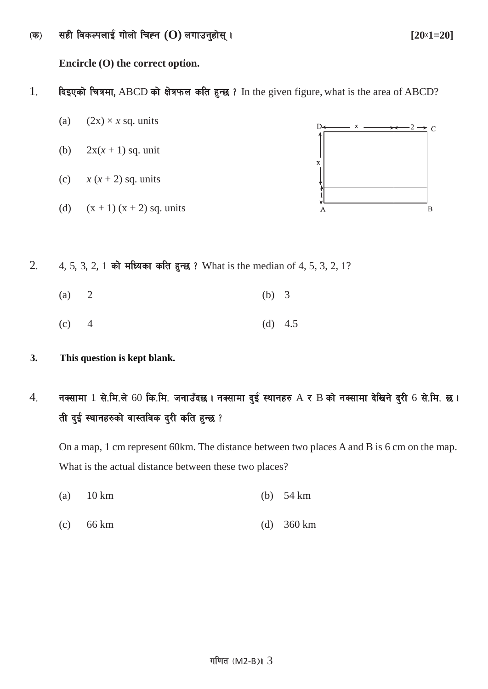-s\_ ;xL ljsNknfO{ uf]nf] lrXg **(O)** nufpg'xf];\ . **[20**×**1=20]**

**Encircle (O) the correct option.**

- 1. दिइएको चित्रमा, ABCD को क्षेत्रफल कति हुन्छ ? In the given figure, what is the area of ABCD?
	- (a)  $(2x) \times x$  sq. units
	- (b)  $2x(x + 1)$  sq. unit
	- (c)  $x(x+2)$  sq. units
	- (d)  $(x + 1) (x + 2)$  sq. units



- 2. 4, 5, 3, 2, 1 को मध्यिका कति हुन्छ ? What is the median of 4, 5, 3, 2, 1?
	- (a) 2 (b) 3
	- (c)  $4$  (d)  $4.5$
- **3. This question is kept blank.**
- $4.$  नक्सामा  $1$  से.मि.ले 60 कि.मि. जनाउँदछ । नक्सामा दुई स्थानहरु  $\rm A$  र  $\rm B$  को नक्सामा देखिने दुरी 6 से.मि. छ । ती दुई स्थानहरुको वास्तविक दुरी कति हुन्छ ?

On a map, 1 cm represent 60km. The distance between two places A and B is 6 cm on the map. What is the actual distance between these two places?

- (a) 10 km (b) 54 km
- (c) 66 km (d) 360 km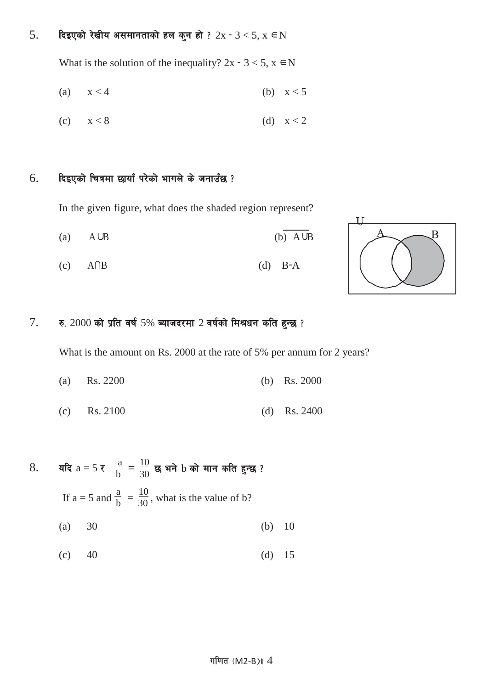## $5.$  दिइएको रेखीय असमानताको हल कुन हो ?  $2x - 3 < 5$ ,  $x \in N$

What is the solution of the inequality?  $2x - 3 < 5$ ,  $x \in N$ 

$$
(a) \qquad x < 4 \qquad \qquad (b) \quad x < 5
$$

$$
(c) \qquad x < 8 \qquad \qquad (d) \quad x < 2
$$

#### $6.$  हिइएको चित्रमा छायाँ परेको भागले के जनाउँछ ?

In the given figure, what does the shaded region represent?

- (a)  $A \cup B$  (b)  $A \cup B$
- (c) A∩B (d) B−A



### $7.$  रु.  $2000$  को प्रति वर्ष 5% ब्याजदरमा 2 वर्षको मिश्रधन कति हुन्छ ?

What is the amount on Rs. 2000 at the rate of 5% per annum for 2 years?

- (a) Rs. 2200 (b) Rs. 2000
- (c) Rs. 2100 (d) Rs. 2400

8. 
$$
\mathbf{q} = 5 \times \frac{a}{b} = \frac{10}{30} \mathbf{g} \mathbf{w} \mathbf{r} + b \mathbf{w} \mathbf{r} \mathbf{r}
$$
 and  $\mathbf{r} = 5 \mathbf{a} \mathbf{r} \mathbf{d} \mathbf{r} \mathbf{b} = \frac{10}{30}$ , what is the value of b?  
\n(a) 30 (b) 10  
\n(c) 40 (d) 15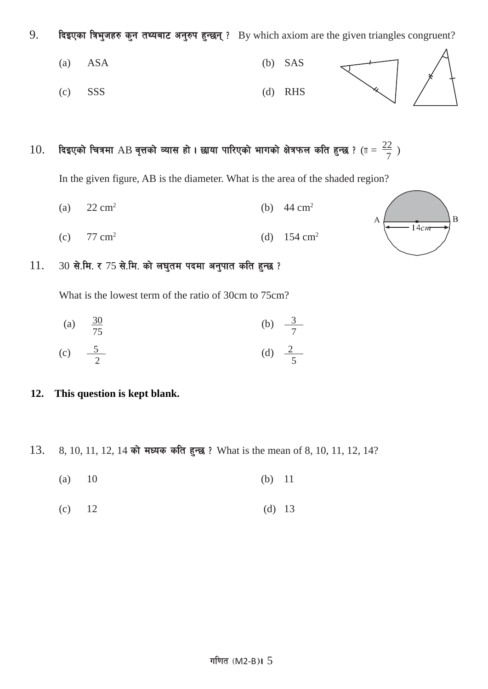9. दिइएका त्रिभुजहरु कुन तथ्यबाट अनुरुप हुन्छन् ? By which axiom are the given triangles congruent?



 $10.$  दिइएको चित्रमा AB वृत्तको व्यास हो । छाया पारिएको भागको क्षेत्रफल कति हुन्छ ? ( $\text{m} = \frac{22}{7}$  )

In the given figure, AB is the diameter. What is the area of the shaded region?

- (a)  $22 \text{ cm}^2$  (b)  $44 \text{ cm}^2$
- (c)  $77 \text{ cm}^2$  (d)  $154 \text{ cm}^2$



#### $11.$  30 से.मि. र 75 से.मि. को लघुतम पदमा अनुपात कति हुन्छ ?

What is the lowest term of the ratio of 30cm to 75cm?

(a)  $\frac{30}{75}$ 75 (b)  $\frac{3}{7}$ 7

(c) 
$$
-\frac{5}{2}
$$
 (d)  $\frac{2}{5}$ 

#### **12. This question is kept blank.**

- 13. 8, 10, 11, 12, 14 को मध्यक कति हुन्छ ? What is the mean of 8, 10, 11, 12, 14?
	- (a) 10 (b) 11
	- (c)  $12$  (d)  $13$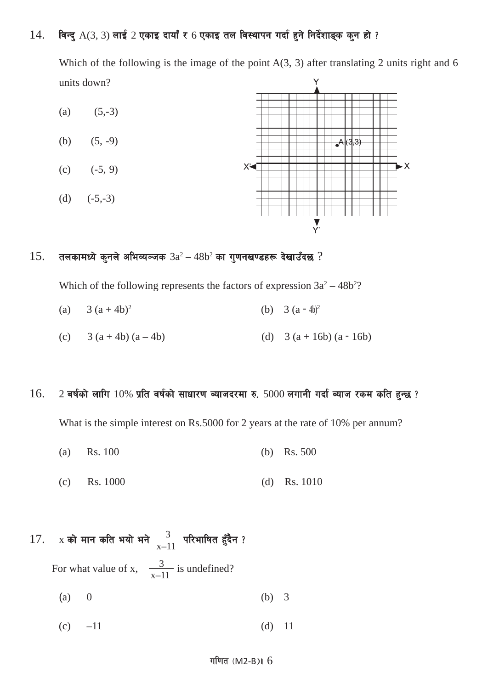## $14.$  विन्दु  $A(3, 3)$  लाई  $2$  एकाइ दायाँ र 6 एकाइ तल विस्थापन गर्दा हुने निर्देशाङ्क कुन हो ?

Which of the following is the image of the point  $A(3, 3)$  after translating 2 units right and 6 units down?



#### $15.$  तलकामध्ये कुनले अभिव्यञ्जक  $3a^2 - 48b^2$  का गुणनखण्डहरू देखाउँदछ ?

Which of the following represents the factors of expression  $3a^2 - 48b^2$ ?

(a) 
$$
3(a+4b)^2
$$
 (b)  $3(a-4b)^2$ 

(c)  $3 (a + 4b) (a - 4b)$  (d)  $3 (a + 16b) (a - 16b)$ 

#### $16.$  2 बर्षको लागि  $10\%$  प्रति वर्षको साधारण ब्याजदरमा रु.  $5000$  लगानी गर्दा ब्याज रकम कति हुन्छ ?

What is the simple interest on Rs.5000 for 2 years at the rate of 10% per annum?

- (a) Rs. 100 (b) Rs. 500
- (c) Rs. 1000 (d) Rs. 1010

# 17. x को मान कति भयो भने  $\frac{3}{x-11}$  परिभाषित हुँदैन ?

For what value of x,  $\frac{3}{x-11}$  is undefined?

- (a) 0 (b) 3
- (c)  $-11$  (d) 11

#### गणित  $(M2-B)I_0$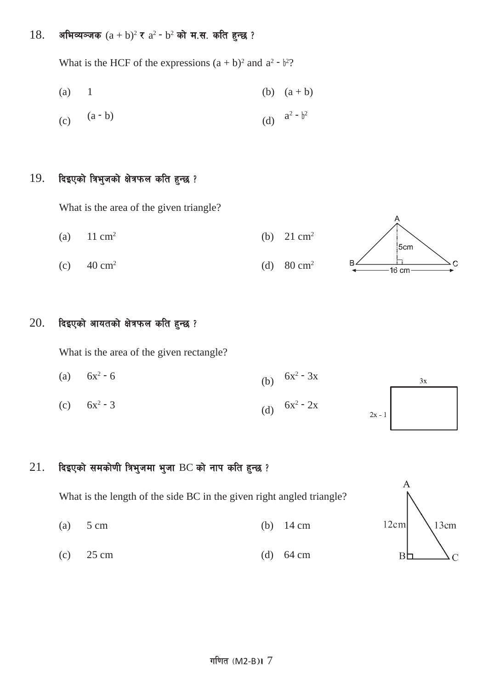#### 18. अभिव्यञ्जक  $(a + b)^2$  र  $a^2 - b^2$  को म.स. कति हुन्छ ?

What is the HCF of the expressions  $(a + b)^2$  and  $a^2 - b^2$ ?

(a) 1 (b) 
$$
(a + b)
$$

(c) 
$$
(a - b)
$$
 (d)  $a^2 - b^2$ 

#### $19.$  दिइएको त्रिभुजको क्षेत्रफल कति हुन्छ ?

What is the area of the given triangle?

(a)  $11 \text{ cm}^2$  (b)  $21 \text{ cm}^2$ :<br>5cm (c)  $40 \text{ cm}^2$  (d)  $80 \text{ cm}^2$  $\overline{C}$ 

#### $20.$  दिइएको आयतको क्षेत्रफल कति हुन्छ ?

What is the area of the given rectangle?

(a)  $6x^2 - 6$  (b)  $6x^2 - 3x$  $3x$ (c)  $6x^2 - 3$  (d)  $6x^2 - 2x$  $2x - 1$ 

### $21.$  दिइएको समकोणी त्रिभुजमा भुजा BC को नाप कति हुन्छ ?

What is the length of the side BC in the given right angled triangle?

- (a) 5 cm (b) 14 cm
- (c)  $25 \text{ cm}$  (d)  $64 \text{ cm}$



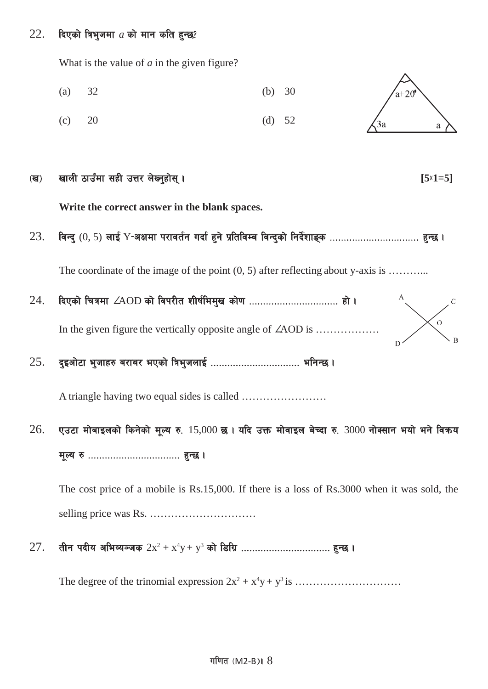#### $22.$  दिएको त्रिभुजमा  $a$  को मान कति हुन्छ?

What is the value of *a* in the given figure?

- (a) 32 (b) 30  $a + 20$
- (c)  $20$  (d)  $52$



#### (ख) खाली ठाउँमा सही उत्तर लेख्नुहोस् ।

**Write the correct answer in the blank spaces.**

23. ljGb' (0, 5) nfO{ Y−cIfdf k/fjt{g ubf{ x'g] k|ltljDa ljGb'sf] lgb{]zfª\s ================================ x'G5 .

The coordinate of the image of the point  $(0, 5)$  after reflecting about y-axis is ...........

- 24. lbPsf] lrqdf ∠AOD sf] ljk/Lt zLif{led'v sf]0f ================================ xf] . In the given figure the vertically opposite angle of ∠AOD is ………………
- 25. b'Ocf]6f e'hfx? a/fa/ ePsf] lqe'hnfO{ ================================ elgG5 .

A triangle having two equal sides is called ……………………

 $26.$  एउटा मोबाइलको किनेको मूल्य रु.  $15,000$  छ । यदि उक्त मोवाइल बेच्दा रु.  $3000$  नोक्सान भयो भने विकय d"No ? ================================= x'G5 .

The cost price of a mobile is Rs.15,000. If there is a loss of Rs.3000 when it was sold, the selling price was Rs. …………………………

 $27$ . तीन पदीय अभिव्यञ्जक  $2\mathrm{x}^2+\mathrm{x}^4\mathrm{y}+\mathrm{y}^3$  को डिग्रि ……………………………… हुन्छ ।

The degree of the trinomial expression 2x2 + x4 y+ y3 is …………………………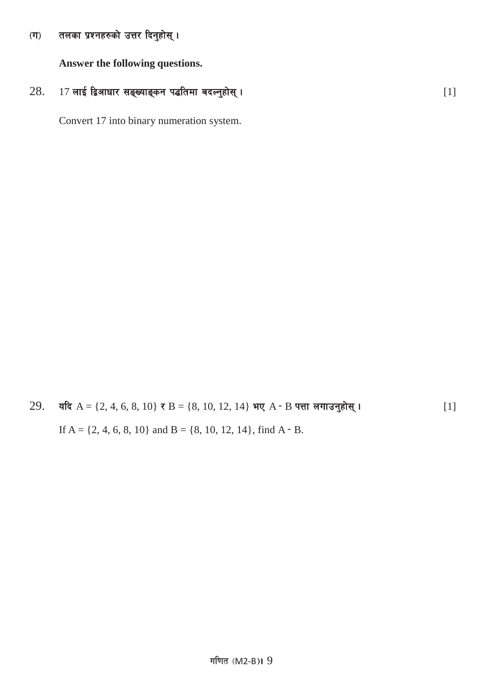#### तलका प्रश्नहरुको उत्तर दिनुहोस् ।  $(T)$

Answer the following questions.

#### 17 लाई द्विआधार सङ्ख्याङ्कन पद्धतिमा बदल्नुहोस् । 28.

Convert 17 into binary numeration system.

यदि A = {2, 4, 6, 8, 10} र B = {8, 10, 12, 14} भए A - B पत्ता लगाउनुहोस् । 29.  $[1]$ If  $A = \{2, 4, 6, 8, 10\}$  and  $B = \{8, 10, 12, 14\}$ , find  $A - B$ .

 $[1]$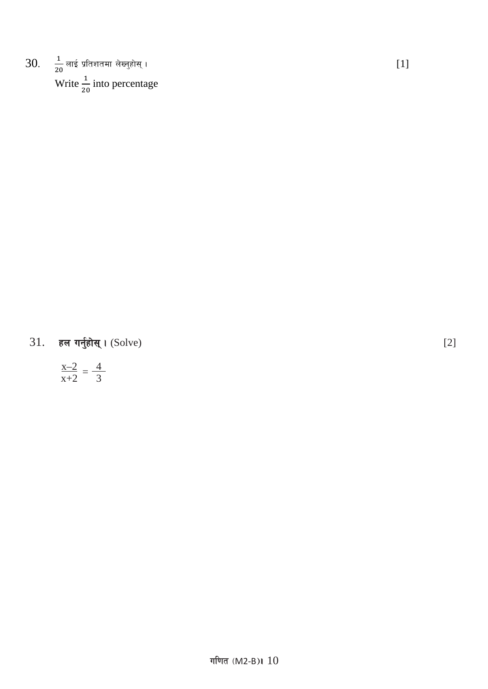30.  $\frac{1}{20}$  लाई प्रतिशतमा लेख्नुहोस् ।<br>Write  $\frac{1}{20}$  into percentage

 $31.$ हल गर्नुहोस् । (Solve)

$$
\frac{x-2}{x+2} = \frac{4}{3}
$$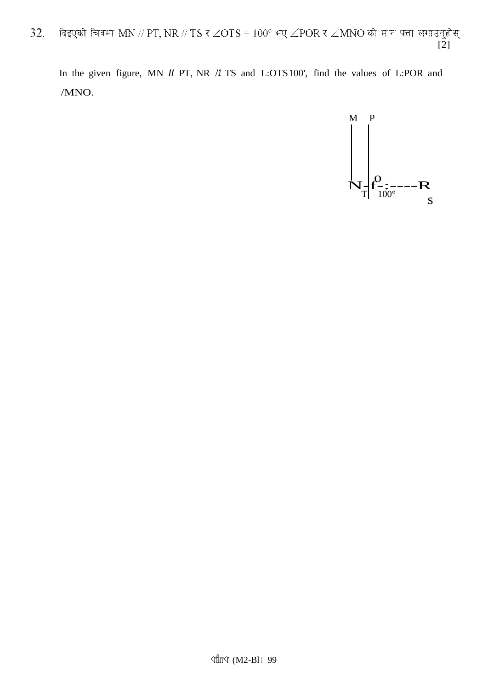दिइएको चित्रमा MN // PT, NR // TS र  $\angle$ OTS =  $100^\circ$  भए  $\angle$ POR र  $\angle$ MNO को मान पत्ता लगाउनुहोस् 32.  $[2]$ 

In the given figure, MN *II* PT, NR /1 TS and L:OTS100', find the values of L:POR and  $/MNO.$ 

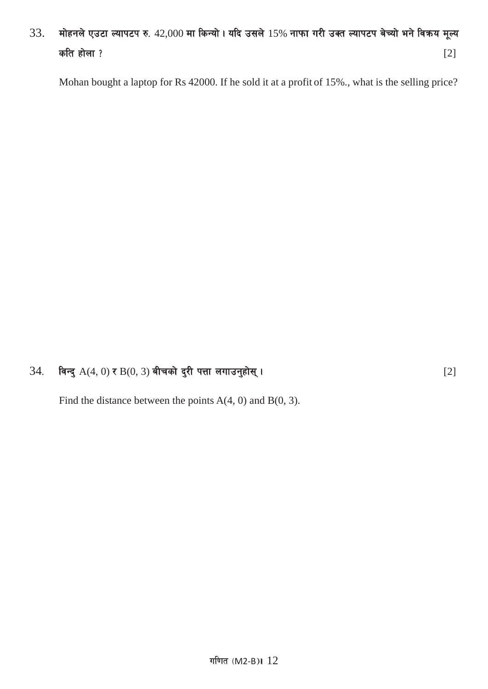# $33.$  मोहनले एउटा ल्यापटप रु.  $42,000$  मा किन्यो। यदि उसले  $15%$  नाफा गरी उक्त ल्यापटप बेच्यो भने विक्रय मूल्य कति होला ?  $[2]$

Mohan bought a laptop for Rs 42000. If he sold it at a profit of 15%., what is the selling price?

### 34= ljGb' A(4, 0) / B(0, 3) aLrsf] b'/L kQf nufpg'xf];\ . [2]

Find the distance between the points  $A(4, 0)$  and  $B(0, 3)$ .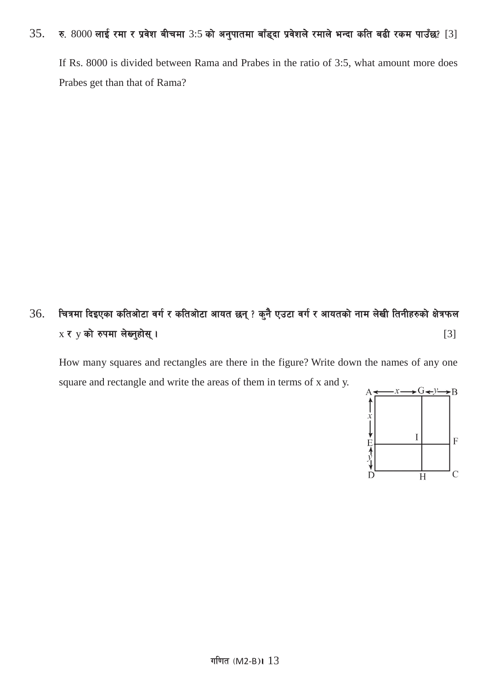### $35.$  रु.  $8000$  लाई रमा र प्रवेश बीचमा  $3:5$  को अनुपातमा बाँड्दा प्रवेशले रमाले भन्दा कति बढी रकम पाउँछ? [3]

If Rs. 8000 is divided between Rama and Prabes in the ratio of 3:5, what amount more does Prabes get than that of Rama?

# $36$ . वित्रमा दिइएका कतिओटा वर्ग र कतिओटा आयत छन् ? कुनै एउटा वर्ग र आयतको नाम लेखी तिनीहरुको क्षेत्रफल  $x \in y$  को रुपमा लेख्नुहोस् ।  $[3]$

How many squares and rectangles are there in the figure? Write down the names of any one square and rectangle and write the areas of them in terms of x and y.

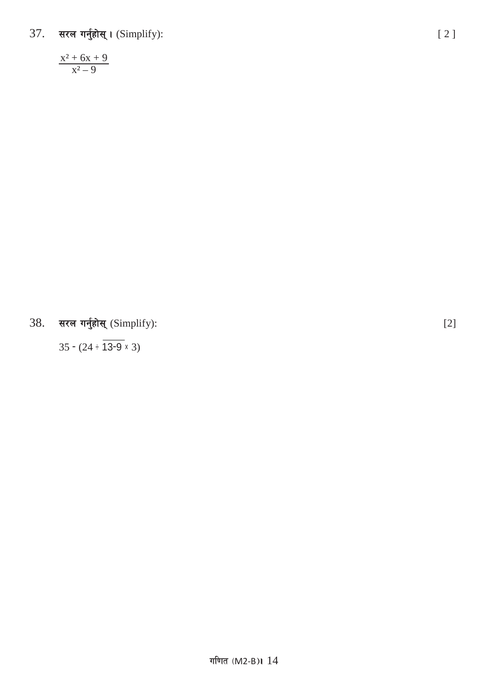सरल गर्नुहोस् । (Simplify):  $37.$ 

 $\frac{x^2 + 6x + 9}{x^2 - 9}$ 

38. सरल गर्नुहोस् (Simplify):

 $35 - (24 \div \overline{13\text{-}9} \times 3)$ 

 $[2]$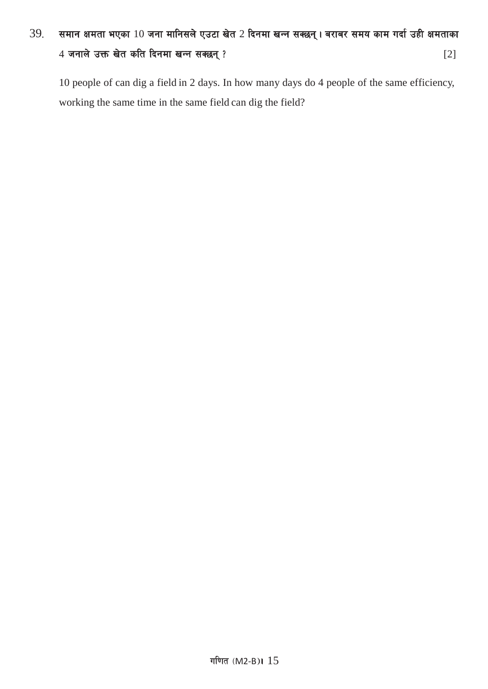# $39.$  समान क्षमता भएका  $10$  जना मानिसले एउटा खेत 2 दिनमा खन्न सक्छन्। बराबर समय काम गर्दा उही क्षमताका  $4 \pi$ नाले उक्त खेत कति दिनमा खन्न सक्छन् ?

10 people of can dig a field in 2 days. In how many days do 4 people of the same efficiency, working the same time in the same field can dig the field?